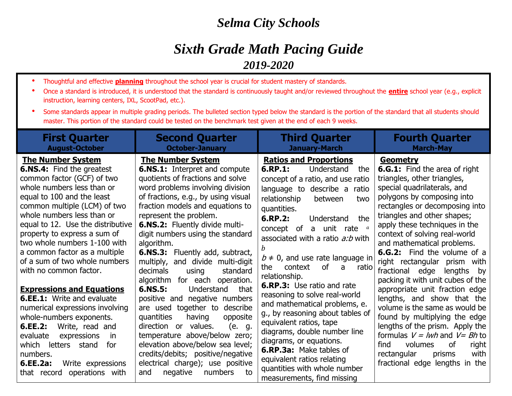## *Selma City Schools*

## *Sixth Grade Math Pacing Guide 2019-2020*

- Thoughtful and effective **planning** throughout the school year is crucial for student mastery of standards.
- Once a standard is introduced, it is understood that the standard is continuously taught and/or reviewed throughout the **entire** school year (e.g., explicit instruction, learning centers, IXL, ScootPad, etc.).
- Some standards appear in multiple grading periods. The bulleted section typed below the standard is the portion of the standard that all students should master. This portion of the standard could be tested on the benchmark test given at the end of each 9 weeks.

| <b>First Quarter</b><br><b>August-October</b>                                                                                                                                                                                                                                                                                                                                                                                                                                                                                                                                                                                                                                                           | <b>Second Quarter</b><br><b>October-January</b>                                                                                                                                                                                                                                                                                                                                                                                                                                                                                                                                                                                                                                                                                                                                                                 | <b>Third Quarter</b><br><b>January-March</b>                                                                                                                                                                                                                                                                                                                                                                                                                                                                                                                                                                                                                                                         | <b>Fourth Quarter</b><br><b>March-May</b>                                                                                                                                                                                                                                                                                                                                                                                                                                                                                                                                                                                                                                                                                                                                             |
|---------------------------------------------------------------------------------------------------------------------------------------------------------------------------------------------------------------------------------------------------------------------------------------------------------------------------------------------------------------------------------------------------------------------------------------------------------------------------------------------------------------------------------------------------------------------------------------------------------------------------------------------------------------------------------------------------------|-----------------------------------------------------------------------------------------------------------------------------------------------------------------------------------------------------------------------------------------------------------------------------------------------------------------------------------------------------------------------------------------------------------------------------------------------------------------------------------------------------------------------------------------------------------------------------------------------------------------------------------------------------------------------------------------------------------------------------------------------------------------------------------------------------------------|------------------------------------------------------------------------------------------------------------------------------------------------------------------------------------------------------------------------------------------------------------------------------------------------------------------------------------------------------------------------------------------------------------------------------------------------------------------------------------------------------------------------------------------------------------------------------------------------------------------------------------------------------------------------------------------------------|---------------------------------------------------------------------------------------------------------------------------------------------------------------------------------------------------------------------------------------------------------------------------------------------------------------------------------------------------------------------------------------------------------------------------------------------------------------------------------------------------------------------------------------------------------------------------------------------------------------------------------------------------------------------------------------------------------------------------------------------------------------------------------------|
| <b>The Number System</b><br><b>6.NS.4:</b> Find the greatest<br>common factor (GCF) of two<br>whole numbers less than or<br>equal to 100 and the least<br>common multiple (LCM) of two<br>whole numbers less than or<br>equal to 12. Use the distributive<br>property to express a sum of<br>two whole numbers 1-100 with<br>a common factor as a multiple<br>of a sum of two whole numbers<br>with no common factor.<br><b>Expressions and Equations</b><br><b>6.EE.1:</b> Write and evaluate<br>numerical expressions involving<br>whole-numbers exponents.<br>Write, read and<br>6.EE.2:<br>expressions<br>evaluate<br>in<br>which letters stand<br>for<br>numbers.<br>6.EE.2a:<br>Write expressions | <b>The Number System</b><br><b>6.NS.1:</b> Interpret and compute<br>quotients of fractions and solve<br>word problems involving division<br>of fractions, e.g., by using visual<br>fraction models and equations to<br>represent the problem.<br><b>6.NS.2:</b> Fluently divide multi-<br>digit numbers using the standard<br>algorithm.<br><b>6.NS.3:</b> Fluently add, subtract,<br>multiply, and divide multi-digit<br>decimals<br>standard<br>using<br>algorithm for each operation.<br>6.NS.5:<br>Understand<br>that<br>positive and negative numbers<br>are used together to describe<br>quantities<br>having<br>opposite<br>direction or values.<br>(e. g.<br>temperature above/below zero;<br>elevation above/below sea level;<br>credits/debits; positive/negative<br>electrical charge); use positive | <b>Ratios and Proportions</b><br>6.RP.1:<br>Understand<br>the<br>concept of a ratio, and use ratio<br>language to describe a<br>ratio<br>relationship<br>between<br>two<br>quantities.<br>6.RP.2:<br>the<br>Understand<br>concept of a unit rate $a$<br>associated with a ratio a:b with<br>$b \neq 0$ , and use rate language in<br>context<br>of<br>the<br>$\mathsf{a}$<br>ratio<br>relationship.<br><b>6.RP.3:</b> Use ratio and rate<br>reasoning to solve real-world<br>and mathematical problems, e.<br>g., by reasoning about tables of<br>equivalent ratios, tape<br>diagrams, double number line<br>diagrams, or equations.<br><b>6.RP.3a:</b> Make tables of<br>equivalent ratios relating | <b>Geometry</b><br><b>6.G.1:</b> Find the area of right<br>triangles, other triangles,<br>special quadrilaterals, and<br>polygons by composing into<br>rectangles or decomposing into<br>triangles and other shapes;<br>apply these techniques in the<br>context of solving real-world<br>and mathematical problems.<br><b>6.G.2:</b> Find the volume of a<br>right rectangular prism with<br>fractional edge lengths by<br>packing it with unit cubes of the<br>appropriate unit fraction edge<br>lengths, and show that the<br>volume is the same as would be<br>found by multiplying the edge<br>lengths of the prism. Apply the<br>formulas $V = lwh$ and $V = Bh$ to<br><b>of</b><br>find<br>volumes<br>right<br>with<br>rectangular<br>prisms<br>fractional edge lengths in the |
| operations with<br>that record                                                                                                                                                                                                                                                                                                                                                                                                                                                                                                                                                                                                                                                                          | negative<br>numbers<br>and<br>to                                                                                                                                                                                                                                                                                                                                                                                                                                                                                                                                                                                                                                                                                                                                                                                | quantities with whole number<br>measurements, find missing                                                                                                                                                                                                                                                                                                                                                                                                                                                                                                                                                                                                                                           |                                                                                                                                                                                                                                                                                                                                                                                                                                                                                                                                                                                                                                                                                                                                                                                       |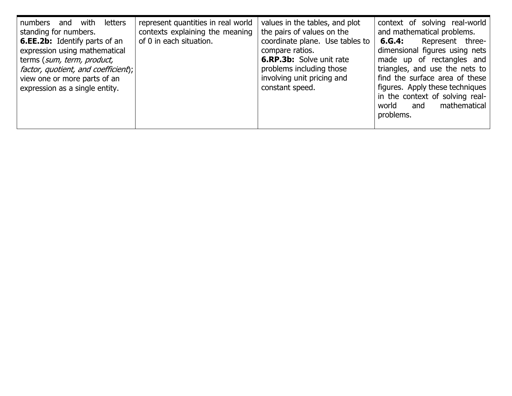| letters<br>numbers<br>with<br>and<br>standing for numbers.<br><b>6.EE.2b:</b> Identify parts of an<br>expression using mathematical<br>terms (sum, term, product,<br>factor, quotient, and coefficient);<br>view one or more parts of an<br>expression as a single entity. | represent quantities in real world<br>contexts explaining the meaning<br>of 0 in each situation. | values in the tables, and plot<br>the pairs of values on the<br>coordinate plane. Use tables to<br>compare ratios.<br><b>6.RP.3b:</b> Solve unit rate<br>problems including those<br>involving unit pricing and<br>constant speed. | context of solving real-world<br>and mathematical problems.<br>Represent three-<br>6.G.4:<br>dimensional figures using nets<br>made up of rectangles and<br>triangles, and use the nets to<br>find the surface area of these<br>figures. Apply these techniques<br>in the context of solving real-<br>mathematical<br>world<br>and |
|----------------------------------------------------------------------------------------------------------------------------------------------------------------------------------------------------------------------------------------------------------------------------|--------------------------------------------------------------------------------------------------|------------------------------------------------------------------------------------------------------------------------------------------------------------------------------------------------------------------------------------|------------------------------------------------------------------------------------------------------------------------------------------------------------------------------------------------------------------------------------------------------------------------------------------------------------------------------------|
|                                                                                                                                                                                                                                                                            |                                                                                                  |                                                                                                                                                                                                                                    | problems.                                                                                                                                                                                                                                                                                                                          |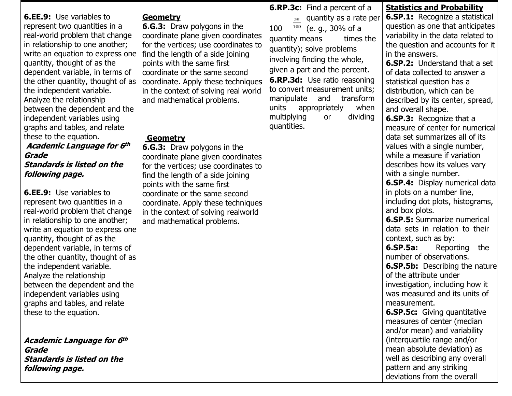| <b>6.RP.3c:</b> Find a percent of a                                                                                                                       | <b>Statistics and Probability</b>                                          |
|-----------------------------------------------------------------------------------------------------------------------------------------------------------|----------------------------------------------------------------------------|
| <b>6.EE.9:</b> Use variables to<br><b>Geometry</b><br>quantity as a rate per<br>30<br>6.G.3: Draw polygons in the<br>represent two quantities in a<br>100 | <b>6.SP.1:</b> Recognize a statistical<br>question as one that anticipates |
| (e. g., 30% of a<br>100<br>real-world problem that change<br>coordinate plane given coordinates                                                           | variability in the data related to                                         |
| times the<br>quantity means<br>in relationship to one another;<br>for the vertices; use coordinates to                                                    | the question and accounts for it                                           |
| quantity); solve problems<br>in the answers.<br>write an equation to express one<br>find the length of a side joining                                     |                                                                            |
| involving finding the whole,<br>quantity, thought of as the<br>points with the same first                                                                 | <b>6.SP.2:</b> Understand that a set                                       |
| given a part and the percent.<br>dependent variable, in terms of<br>of data collected to answer a<br>coordinate or the same second                        |                                                                            |
| <b>6.RP.3d:</b> Use ratio reasoning<br>the other quantity, thought of as<br>statistical question has a<br>coordinate. Apply these techniques              |                                                                            |
| to convert measurement units;<br>the independent variable.<br>distribution, which can be<br>in the context of solving real world                          |                                                                            |
| manipulate<br>transform<br>and<br>Analyze the relationship<br>and mathematical problems.                                                                  | described by its center, spread,                                           |
| units<br>when<br>appropriately<br>between the dependent and the<br>and overall shape.                                                                     |                                                                            |
| multiplying<br>dividing<br>or<br>independent variables using<br><b>6.SP.3:</b> Recognize that a                                                           |                                                                            |
| quantities.<br>graphs and tables, and relate                                                                                                              | measure of center for numerical                                            |
| these to the equation.<br>data set summarizes all of its<br>Geometry                                                                                      |                                                                            |
| <b>Academic Language for 6th</b><br>values with a single number,<br><b>6.G.3:</b> Draw polygons in the                                                    |                                                                            |
| while a measure if variation<br>Grade<br>coordinate plane given coordinates                                                                               |                                                                            |
| <b>Standards is listed on the</b><br>describes how its values vary<br>for the vertices; use coordinates to                                                |                                                                            |
| with a single number.<br>following page.<br>find the length of a side joining                                                                             |                                                                            |
| points with the same first                                                                                                                                | <b>6.SP.4:</b> Display numerical data                                      |
| in plots on a number line,<br><b>6.EE.9:</b> Use variables to<br>coordinate or the same second                                                            |                                                                            |
| represent two quantities in a<br>coordinate. Apply these techniques                                                                                       | including dot plots, histograms,                                           |
| and box plots.<br>real-world problem that change<br>in the context of solving realworld                                                                   |                                                                            |
| <b>6.SP.5:</b> Summarize numerical<br>in relationship to one another;<br>and mathematical problems.                                                       |                                                                            |
| data sets in relation to their<br>write an equation to express one                                                                                        |                                                                            |
| context, such as by:<br>quantity, thought of as the                                                                                                       |                                                                            |
| 6.SP.5a:<br>dependent variable, in terms of                                                                                                               | Reporting<br>the                                                           |
| number of observations.<br>the other quantity, thought of as                                                                                              |                                                                            |
| the independent variable.                                                                                                                                 | <b>6.SP.5b:</b> Describing the nature                                      |
| of the attribute under<br>Analyze the relationship                                                                                                        |                                                                            |
| investigation, including how it<br>between the dependent and the                                                                                          |                                                                            |
| was measured and its units of<br>independent variables using                                                                                              |                                                                            |
| graphs and tables, and relate<br>measurement.                                                                                                             |                                                                            |
| <b>6.SP.5c:</b> Giving quantitative<br>these to the equation.                                                                                             |                                                                            |
| measures of center (median<br>and/or mean) and variability                                                                                                |                                                                            |
| (interquartile range and/or                                                                                                                               |                                                                            |
| Academic Language for 6th<br>mean absolute deviation) as                                                                                                  |                                                                            |
| Grade<br>well as describing any overall<br><b>Standards is listed on the</b>                                                                              |                                                                            |
| pattern and any striking                                                                                                                                  |                                                                            |
| following page.<br>deviations from the overall                                                                                                            |                                                                            |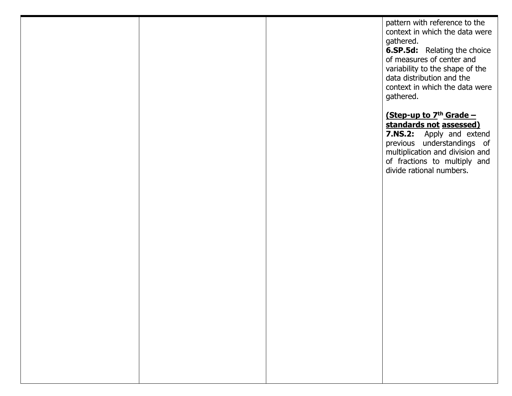pattern with reference to the context in which the data were gathered.

**6.SP.5d:** Relating the choice of measures of center and variability to the shape of the data distribution and the context in which the data were gathered.

## **(Step-up to 7th Grade – standards not assessed)**

**7.NS.2:** Apply and extend previous understandings of multiplication and division and of fractions to multiply and divide rational numbers.